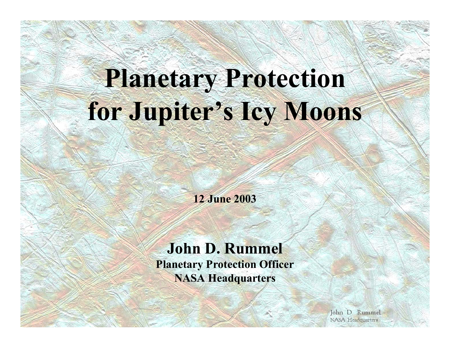# **Planetary Protection for Jupiter's Icy Moons**

**12 June 2003**

#### **John D. Rummel Planetary Protection Officer NASA Headquarters**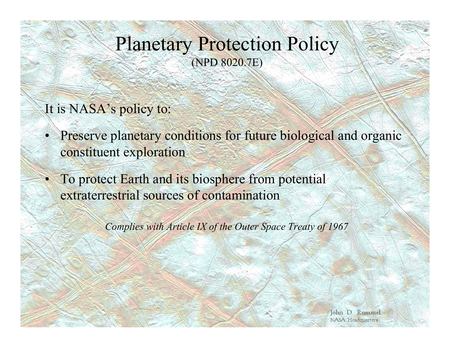#### Planetary Protection Policy (NPD 8020.7E)

#### It is NASA's policy to:

- •Preserve planetary conditions for future biological and organic constituent exploration
- To protect Earth and its biosphere from potential extraterrestrial sources of contamination

*Complies with Article IX of the Outer Space Treaty of 1967*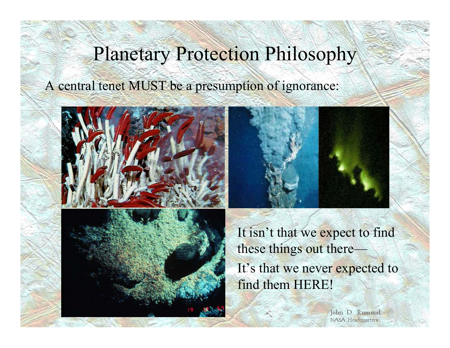### Planetary Protection Philosophy

A central tenet MUST be a presumption of ignorance:





It isn't that we expect to find these things out there— It's that we never expected to find them HERE!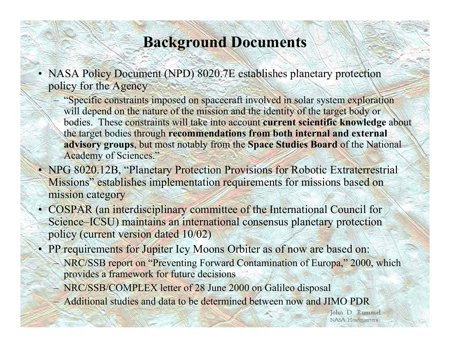#### **Background Documents**

- NASA Policy Document (NPD) 8020.7E establishes planetary protection policy for the Agency
	- "Specific constraints imposed on spacecraft involved in solar system exploration will depend on the nature of the mission and the identity of the target body or bodies. These constraints will take into account **current scientific knowledge** about the target bodies through **recommendations from both internal and external advisory groups**, but most notably from the **Space Studies Board** of the National Academy of Sciences."
- NPG 8020.12B, "Planetary Protection Provisions for Robotic Extraterrestrial Missions" establishes implementation requirements for missions based on mission category
- COSPAR (an interdisciplinary committee of the International Council for Science–ICSU) maintains an international consensus planetary protection policy (current version dated 10/02)
- PP requirements for Jupiter Icy Moons Orbiter as of now are based on:
	- NRC/SSB report on "Preventing Forward Contamination of Europa," 2000, which provides a framework for future decisions
	- NRC/SSB/COMPLEX letter of 28 June 2000 on Galileo disposal
	- Additional studies and data to be determined between now and JIMO PDR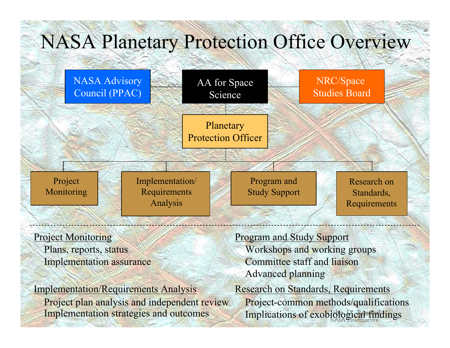## NASA Planetary Protection Office Overview



**Project Monitoring** 

Plans, reports, status Implementation assurance

Implementation/Requirements Analysis Project plan analysis and independent review Implementation strategies and outcomes

Program and Study Support Workshops and working groups Committee staff and liaisonAdvanced planning Research on Standards, Requirements Project-common methods/qualifications Implications of exobiological findings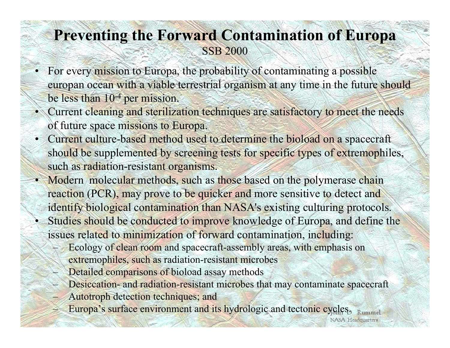#### **Preventing the Forward Contamination of Europa** SSB 2000

- • For every mission to Europa, the probability of contaminating a possible europan ocean with a viable terrestrial organism at any time in the future should be less than 10-4 per mission.
- Current cleaning and sterilization techniques are satisfactory to meet the needs of future space missions to Europa.
- • Current culture-based method used to determine the bioload on a spacecraft should be supplemented by screening tests for specific types of extremophiles, such as radiation-resistant organisms.
- •Modern molecular methods, such as those based on the polymerase chain reaction (PCR), may prove to be quicker and more sensitive to detect and identify biological contamination than NASA's existing culturing protocols. •
	- Studies should be conducted to improve knowledge of Europa, and define the issues related to minimization of forward contamination, including:
		- Ecology of clean room and spacecraft-assembly areas, with emphasis on extremophiles, such as radiation-resistant microbes
		- Detailed comparisons of bioload assay methods
		- Desiccation- and radiation-resistant microbes that may contaminate spacecraft

**NASA** Headquarters

- Autotroph detection techniques; and
- Europa's surface environment and its hydrologic and tectonic cycles. Rummel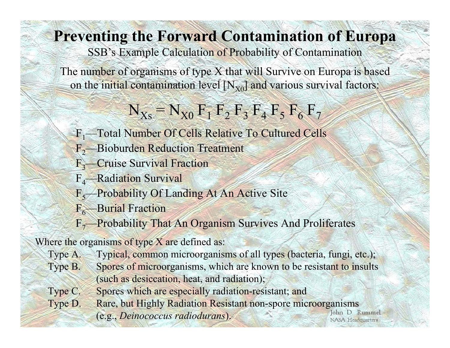### **Preventing the Forward Contamination of Europa**

SSB's Example Calculation of Probability of Contamination

The number of organisms of type X that will Survive on Europa is based on the initial contamination level  $[N_{X0}]$  and various survival factors:

 $N_{Xs} = N_{X0} F_1 F_2 F_3 F_4 F_5 F_6 F_7$ 

- F1—Total Number Of Cells Relative To Cultured Cells
- F<sub>2</sub>—Bioburden Reduction Treatment
- F <sup>3</sup>—Cruise Survival Fraction
- F <sup>4</sup>—Radiation Survival
- F<sub>5</sub>—Probability Of Landing At An Active Site
- F<sub>6</sub>—Burial Fraction
- F<sub>7</sub>—Probability That An Organism Survives And Proliferates

Where the organisms of type X are defined as:

- Type A. Typical, common microorganisms of all types (bacteria, fungi, etc.); Type B. Spores of microorganisms, which are known to be resistant to insults (such as desiccation, heat, and radiation);
- Type C. Spores which are especially radiation-resistant; and
- Type D. Rare, but Highly Radiation Resistant non-spore microorganisms John D. Rummel (e.g., *Deinococcus radiodurans*).**NASA** Headquarters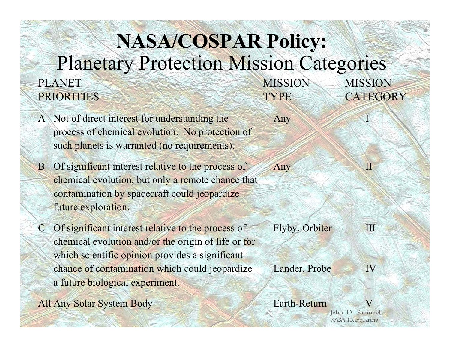#### **NASA/COSPAR Policy:**  Planetary Protection Mission Categories PLANET MISSION **MISSION** PRIORITIES TYPE CATEGORY

- A Not of direct interest for understanding the Any process of chemical evolution. No protection of such planets is warranted (no requirements).
- B Of significant interest relative to the process of Any II chemical evolution, but only a remote chance that contamination by spacecraft could jeopardize future exploration.
- C Of significant interest relative to the process of Flyby, Orbiter III chemical evolution and/or the origin of life or for which scientific opinion provides a significant chance of contamination which could jeopardize Lander, Probe IV a future biological experiment.
- All Any Solar System Body Earth-Return V
- 
-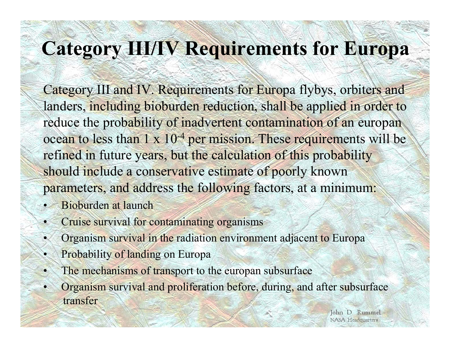# **Category III/IV Requirements for Europa**

Category III and IV. Requirements for Europa flybys, orbiters and landers, including bioburden reduction, shall be applied in order to reduce the probability of inadvertent contamination of an europan ocean to less than 1 x 10<sup>-4</sup> per mission. These requirements will be refined in future years, but the calculation of this probability should include a conservative estimate of poorly known parameters, and address the following factors, at a minimum:

- •Bioburden at launch
- •Cruise survival for contaminating organisms
- •Organism survival in the radiation environment adjacent to Europa
- •Probability of landing on Europa
- •The mechanisms of transport to the europan subsurface
- • Organism survival and proliferation before, during, and after subsurface transfer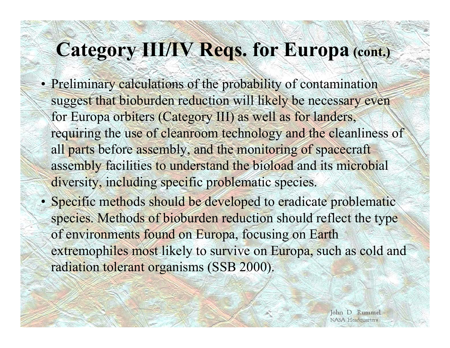# **Category III/IV Reqs. for Europa (cont.)**

- Preliminary calculations of the probability of contamination suggest that bioburden reduction will likely be necessary even for Europa orbiters (Category III) as well as for landers, requiring the use of cleanroom technology and the cleanliness of all parts before assembly, and the monitoring of spacecraft assembly facilities to understand the bioload and its microbial diversity, including specific problematic species.
- Specific methods should be developed to eradicate problematic species. Methods of bioburden reduction should reflect the type of environments found on Europa, focusing on Earth extremophiles most likely to survive on Europa, such as cold and radiation tolerant organisms (SSB 2000).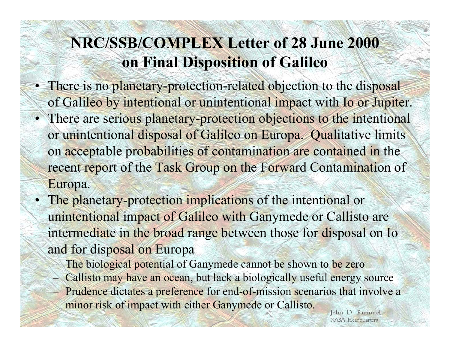### **NRC/SSB/COMPLEX Letter of 28 June 2000 on Final Disposition of Galileo**

- There is no planetary-protection-related objection to the disposal of Galileo by intentional or unintentional impact with Io or Jupiter.
- There are serious planetary-protection objections to the intentional or unintentional disposal of Galileo on Europa. Qualitative limits on acceptable probabilities of contamination are contained in the recent report of the Task Group on the Forward Contamination of Europa.
- •The planetary-protection implications of the intentional or unintentional impact of Galileo with Ganymede or Callisto are intermediate in the broad range between those for disposal on Io and for disposal on Europa
	- –The biological potential of Ganymede cannot be shown to be zero
	- –Callisto may have an ocean, but lack a biologically useful energy source
	- Prudence dictates a preference for end-of-mission scenarios that involve a minor risk of impact with either Ganymede or Callisto.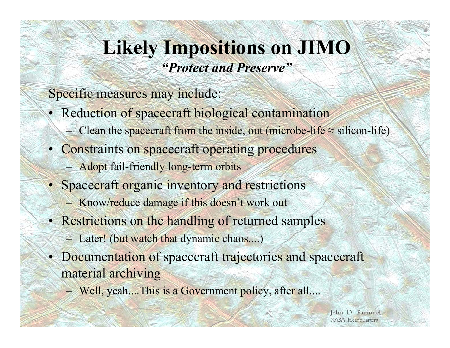### **Likely Impositions on JIMO** *"Protect and Preserve"*

Specific measures may include:

- Reduction of spacecraft biological contamination
	- –Clean the spacecraft from the inside, out (microbe-life  $\approx$  silicon-life)
- Constraints on spacecraft operating procedures –Adopt fail-friendly long-term orbits
- Spacecraft organic inventory and restrictions
	- –Know/reduce damage if this doesn't work out
- Restrictions on the handling of returned samples
	- Later! (but watch that dynamic chaos....)
- Documentation of spacecraft trajectories and spacecraft material archiving
	- –Well, yeah....This is a Government policy, after all....